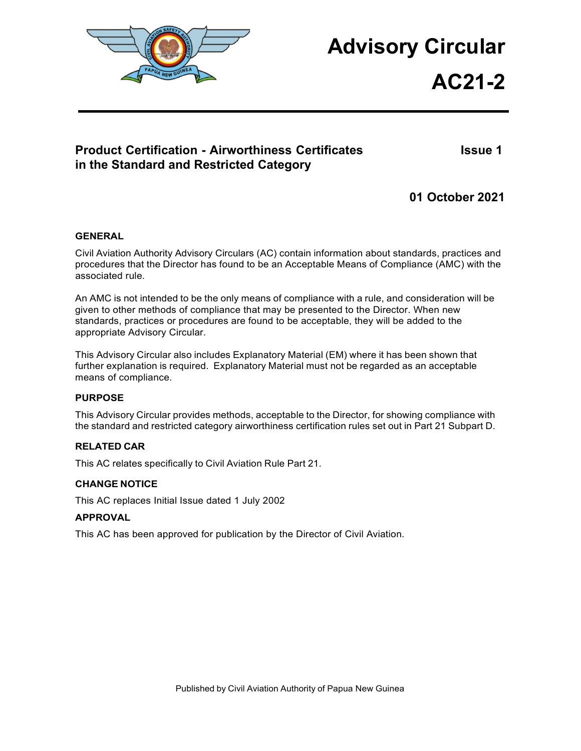

# **Advisory Circular**

**AC21-2**

# **Product Certification - Airworthiness Certificates Integral and Issue 1 in the Standard and Restricted Category**

**01 October 2021**

#### <span id="page-0-0"></span>**GENERAL**

Civil Aviation Authority Advisory Circulars (AC) contain information about standards, practices and procedures that the Director has found to be an Acceptable Means of Compliance (AMC) with the associated rule.

An AMC is not intended to be the only means of compliance with a rule, and consideration will be given to other methods of compliance that may be presented to the Director. When new standards, practices or procedures are found to be acceptable, they will be added to the appropriate Advisory Circular.

This Advisory Circular also includes Explanatory Material (EM) where it has been shown that further explanation is required. Explanatory Material must not be regarded as an acceptable means of compliance.

#### **PURPOSE**

This Advisory Circular provides methods, acceptable to the Director, for showing compliance with the standard and restricted category airworthiness certification rules set out in Part 21 Subpart D.

#### **RELATED CAR**

This AC relates specifically to Civil Aviation Rule Part 21.

#### **CHANGE NOTICE**

This AC replaces Initial Issue dated 1 July 2002

#### **APPROVAL**

This AC has been approved for publication by the Director of Civil Aviation.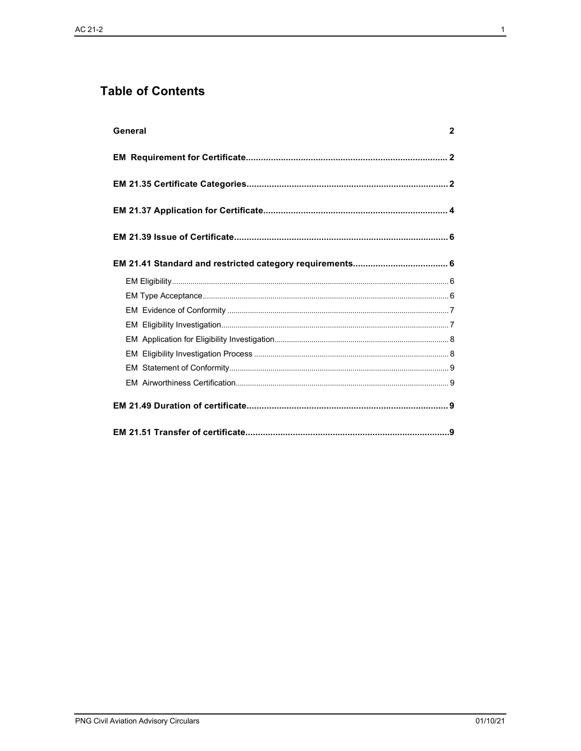# **Table of Contents**

| General<br>$\mathbf{2}$ |
|-------------------------|
|                         |
|                         |
|                         |
|                         |
|                         |
|                         |
|                         |
|                         |
|                         |
|                         |
|                         |
|                         |
|                         |
|                         |
|                         |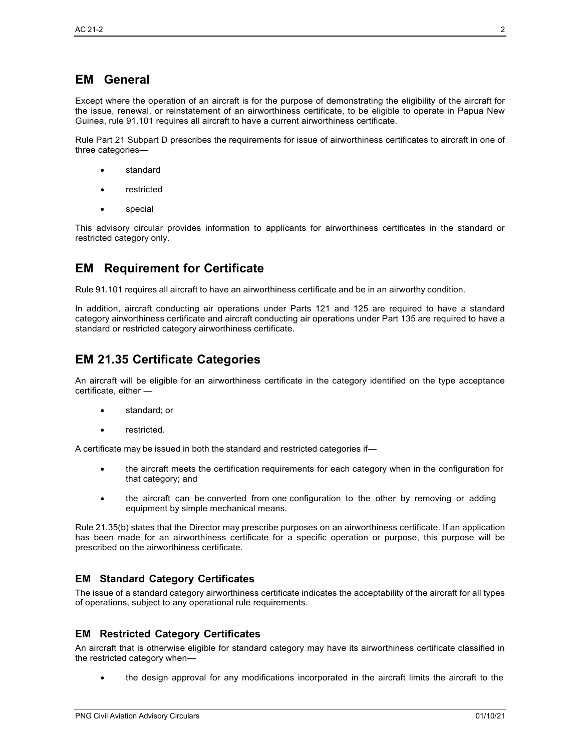# **EM General**

Except where the operation of an aircraft is for the purpose of demonstrating the eligibility of the aircraft for the issue, renewal, or reinstatement of an airworthiness certificate, to be eligible to operate in Papua New Guinea, rule 91.101 requires all aircraft to have a current airworthiness certificate.

Rule Part 21 Subpart D prescribes the requirements for issue of airworthiness certificates to aircraft in one of three categories—

- **standard**
- **restricted**
- special

This advisory circular provides information to applicants for airworthiness certificates in the standard or restricted category only.

## <span id="page-2-0"></span>**EM Requirement for Certificate**

Rule 91.101 requires all aircraft to have an airworthiness certificate and be in an airworthy condition.

In addition, aircraft conducting air operations under Parts 121 and 125 are required to have a standard category airworthiness certificate and aircraft conducting air operations under Part 135 are required to have a standard or restricted category airworthiness certificate.

## <span id="page-2-1"></span>**EM 21.35 Certificate Categories**

An aircraft will be eligible for an airworthiness certificate in the category identified on the type acceptance certificate, either —

- standard; or
- restricted.

A certificate may be issued in both the standard and restricted categories if—

- the aircraft meets the certification requirements for each category when in the configuration for that category; and
- the aircraft can be converted from one configuration to the other by removing or adding equipment by simple mechanical means.

Rule 21.35(b) states that the Director may prescribe purposes on an airworthiness certificate. If an application has been made for an airworthiness certificate for a specific operation or purpose, this purpose will be prescribed on the airworthiness certificate.

#### **EM Standard Category Certificates**

The issue of a standard category airworthiness certificate indicates the acceptability of the aircraft for all types of operations, subject to any operational rule requirements.

#### **EM Restricted Category Certificates**

An aircraft that is otherwise eligible for standard category may have its airworthiness certificate classified in the restricted category when—

• the design approval for any modifications incorporated in the aircraft limits the aircraft to the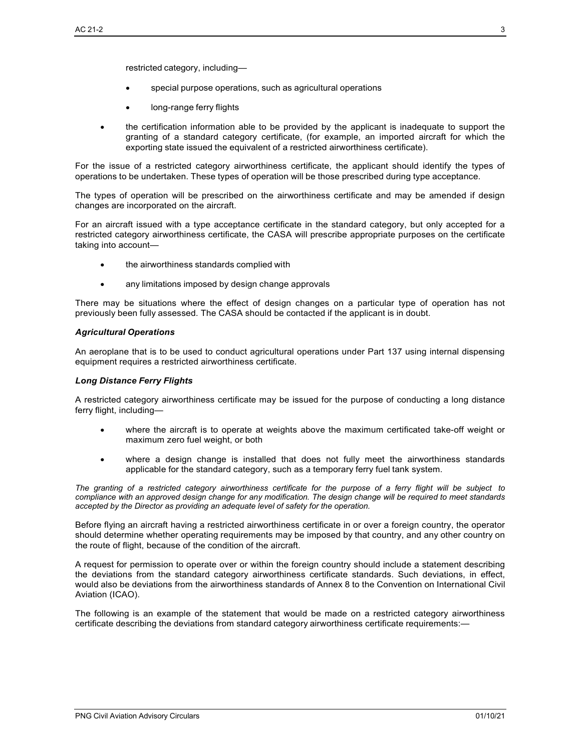restricted category, including—

- special purpose operations, such as agricultural operations
- long-range ferry flights
- the certification information able to be provided by the applicant is inadequate to support the granting of a standard category certificate, (for example, an imported aircraft for which the exporting state issued the equivalent of a restricted airworthiness certificate).

For the issue of a restricted category airworthiness certificate, the applicant should identify the types of operations to be undertaken. These types of operation will be those prescribed during type acceptance.

The types of operation will be prescribed on the airworthiness certificate and may be amended if design changes are incorporated on the aircraft.

For an aircraft issued with a type acceptance certificate in the standard category, but only accepted for a restricted category airworthiness certificate, the CASA will prescribe appropriate purposes on the certificate taking into account—

- the airworthiness standards complied with
- any limitations imposed by design change approvals

There may be situations where the effect of design changes on a particular type of operation has not previously been fully assessed. The CASA should be contacted if the applicant is in doubt.

#### *Agricultural Operations*

An aeroplane that is to be used to conduct agricultural operations under Part 137 using internal dispensing equipment requires a restricted airworthiness certificate.

#### *Long Distance Ferry Flights*

A restricted category airworthiness certificate may be issued for the purpose of conducting a long distance ferry flight, including—

- where the aircraft is to operate at weights above the maximum certificated take-off weight or maximum zero fuel weight, or both
- where a design change is installed that does not fully meet the airworthiness standards applicable for the standard category, such as a temporary ferry fuel tank system.

The granting of a restricted category airworthiness certificate for the purpose of a ferry flight will be subject to *compliance with an approved design change for any modification. The design change will be required to meet standards accepted by the Director as providing an adequate level of safety for the operation.*

Before flying an aircraft having a restricted airworthiness certificate in or over a foreign country, the operator should determine whether operating requirements may be imposed by that country, and any other country on the route of flight, because of the condition of the aircraft.

A request for permission to operate over or within the foreign country should include a statement describing the deviations from the standard category airworthiness certificate standards. Such deviations, in effect, would also be deviations from the airworthiness standards of Annex 8 to the Convention on International Civil Aviation (ICAO).

The following is an example of the statement that would be made on a restricted category airworthiness certificate describing the deviations from standard category airworthiness certificate requirements:—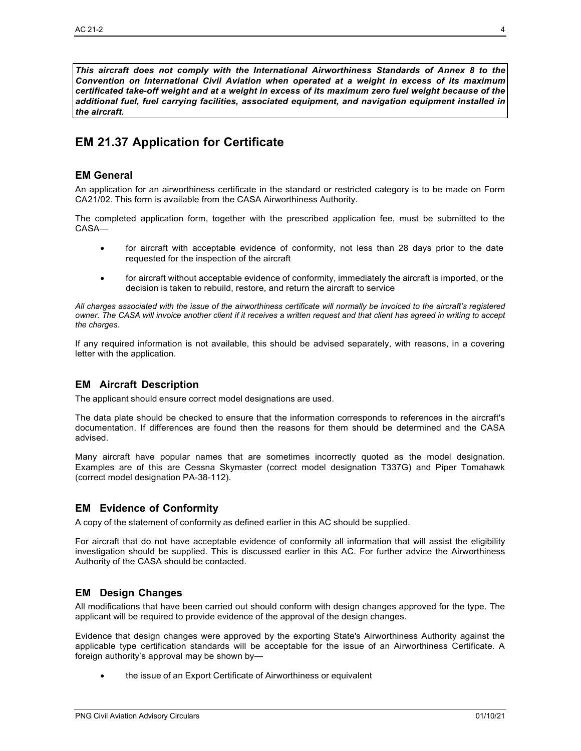*This aircraft does not comply with the International Airworthiness Standards of Annex 8 to the Convention on International Civil Aviation when operated at a weight in excess of its maximum certificated take-off weight and at a weight in excess of its maximum zero fuel weight because of the additional fuel, fuel carrying facilities, associated equipment, and navigation equipment installed in the aircraft.*

# <span id="page-4-0"></span>**EM 21.37 Application for Certificate**

#### **EM General**

An application for an airworthiness certificate in the standard or restricted category is to be made on Form CA21/02. This form is available from the CASA Airworthiness Authority.

The completed application form, together with the prescribed application fee, must be submitted to the CASA—

- for aircraft with acceptable evidence of conformity, not less than 28 days prior to the date requested for the inspection of the aircraft
- for aircraft without acceptable evidence of conformity, immediately the aircraft is imported, or the decision is taken to rebuild, restore, and return the aircraft to service

*All charges associated with the issue of the airworthiness certificate will normally be invoiced to the aircraft's registered owner. The CASA will invoice another client if it receives a written request and that client has agreed in writing to accept the charges.*

If any required information is not available, this should be advised separately, with reasons, in a covering letter with the application.

#### **EM Aircraft Description**

The applicant should ensure correct model designations are used.

The data plate should be checked to ensure that the information corresponds to references in the aircraft's documentation. If differences are found then the reasons for them should be determined and the CASA advised.

Many aircraft have popular names that are sometimes incorrectly quoted as the model designation. Examples are of this are Cessna Skymaster (correct model designation T337G) and Piper Tomahawk (correct model designation PA-38-112).

#### **EM Evidence of Conformity**

A copy of the statement of conformity as defined earlier in this AC should be supplied.

For aircraft that do not have acceptable evidence of conformity all information that will assist the eligibility investigation should be supplied. This is discussed earlier in this AC. For further advice the Airworthiness Authority of the CASA should be contacted.

#### **EM Design Changes**

All modifications that have been carried out should conform with design changes approved for the type. The applicant will be required to provide evidence of the approval of the design changes.

Evidence that design changes were approved by the exporting State's Airworthiness Authority against the applicable type certification standards will be acceptable for the issue of an Airworthiness Certificate. A foreign authority's approval may be shown by—

• the issue of an Export Certificate of Airworthiness or equivalent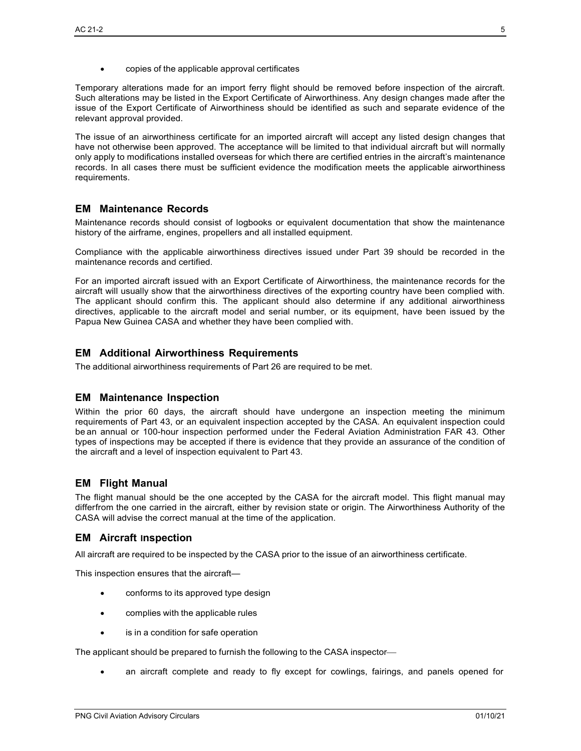• copies of the applicable approval certificates

Temporary alterations made for an import ferry flight should be removed before inspection of the aircraft. Such alterations may be listed in the Export Certificate of Airworthiness. Any design changes made after the issue of the Export Certificate of Airworthiness should be identified as such and separate evidence of the relevant approval provided.

The issue of an airworthiness certificate for an imported aircraft will accept any listed design changes that have not otherwise been approved. The acceptance will be limited to that individual aircraft but will normally only apply to modifications installed overseas for which there are certified entries in the aircraft's maintenance records. In all cases there must be sufficient evidence the modification meets the applicable airworthiness requirements.

## **EM Maintenance Records**

Maintenance records should consist of logbooks or equivalent documentation that show the maintenance history of the airframe, engines, propellers and all installed equipment.

Compliance with the applicable airworthiness directives issued under Part 39 should be recorded in the maintenance records and certified.

For an imported aircraft issued with an Export Certificate of Airworthiness, the maintenance records for the aircraft will usually show that the airworthiness directives of the exporting country have been complied with. The applicant should confirm this. The applicant should also determine if any additional airworthiness directives, applicable to the aircraft model and serial number, or its equipment, have been issued by the Papua New Guinea CASA and whether they have been complied with.

## **EM Additional Airworthiness Requirements**

The additional airworthiness requirements of Part 26 are required to be met.

#### **EM Maintenance Inspection**

Within the prior 60 days, the aircraft should have undergone an inspection meeting the minimum requirements of Part 43, or an equivalent inspection accepted by the CASA. An equivalent inspection could be an annual or 100-hour inspection performed under the Federal Aviation Administration FAR 43. Other types of inspections may be accepted if there is evidence that they provide an assurance of the condition of the aircraft and a level of inspection equivalent to Part 43.

#### **EM Flight Manual**

The flight manual should be the one accepted by the CASA for the aircraft model. This flight manual may differfrom the one carried in the aircraft, either by revision state or origin. The Airworthiness Authority of the CASA will advise the correct manual at the time of the application.

#### **EM Aircraft Inspection**

All aircraft are required to be inspected by the CASA prior to the issue of an airworthiness certificate.

This inspection ensures that the aircraft—

- conforms to its approved type design
- complies with the applicable rules
- is in a condition for safe operation

The applicant should be prepared to furnish the following to the CASA inspector

• an aircraft complete and ready to fly except for cowlings, fairings, and panels opened for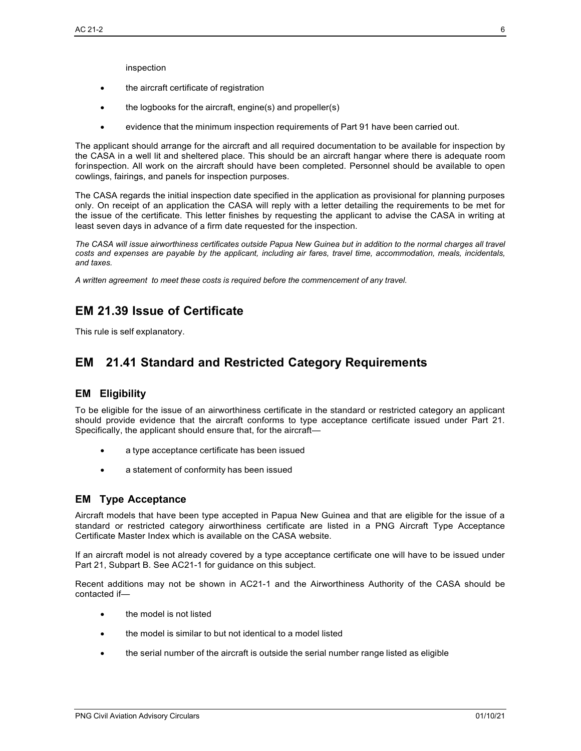inspection

- the aircraft certificate of registration
- the logbooks for the aircraft, engine(s) and propeller(s)
- evidence that the minimum inspection requirements of Part 91 have been carried out.

The applicant should arrange for the aircraft and all required documentation to be available for inspection by the CASA in a well lit and sheltered place. This should be an aircraft hangar where there is adequate room forinspection. All work on the aircraft should have been completed. Personnel should be available to open cowlings, fairings, and panels for inspection purposes.

The CASA regards the initial inspection date specified in the application as provisional for planning purposes only. On receipt of an application the CASA will reply with a letter detailing the requirements to be met for the issue of the certificate. This letter finishes by requesting the applicant to advise the CASA in writing at least seven days in advance of a firm date requested for the inspection.

*The CASA will issue airworthiness certificates outside Papua New Guinea but in addition to the normal charges all travel* costs and expenses are payable by the applicant, including air fares, travel time, accommodation, meals, incidentals, *and taxes.*

*A written agreement to meet these costs is required before the commencement of any travel.*

## <span id="page-6-0"></span>**EM 21.39 Issue of Certificate**

This rule is self explanatory.

## <span id="page-6-1"></span>**EM 21.41 Standard and Restricted Category Requirements**

#### <span id="page-6-2"></span>**EM Eligibility**

To be eligible for the issue of an airworthiness certificate in the standard or restricted category an applicant should provide evidence that the aircraft conforms to type acceptance certificate issued under Part 21. Specifically, the applicant should ensure that, for the aircraft—

- a type acceptance certificate has been issued
- a statement of conformity has been issued

#### <span id="page-6-3"></span>**EM Type Acceptance**

Aircraft models that have been type accepted in Papua New Guinea and that are eligible for the issue of a standard or restricted category airworthiness certificate are listed in a PNG Aircraft Type Acceptance Certificate Master Index which is available on the CASA website.

If an aircraft model is not already covered by a type acceptance certificate one will have to be issued under Part 21, Subpart B. See AC21-1 for guidance on this subject.

Recent additions may not be shown in AC21-1 and the Airworthiness Authority of the CASA should be contacted if—

- the model is not listed
- the model is similar to but not identical to a model listed
- the serial number of the aircraft is outside the serial number range listed as eligible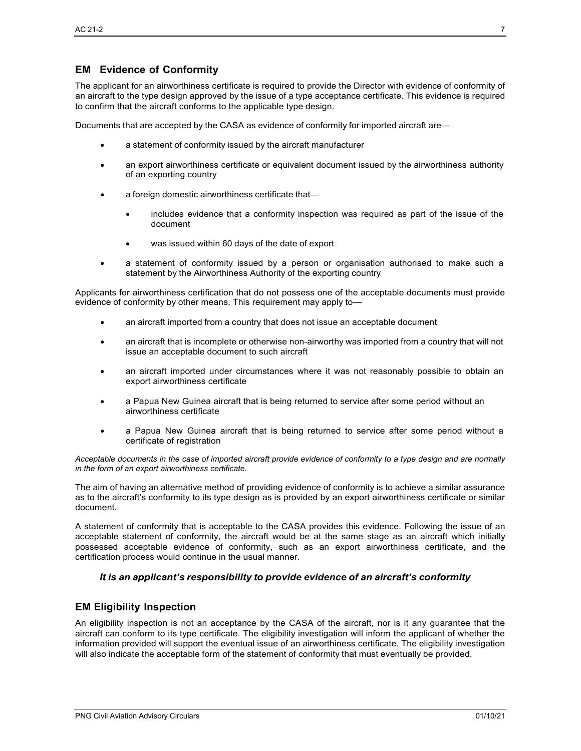## <span id="page-7-0"></span>**EM Evidence of Conformity**

The applicant for an airworthiness certificate is required to provide the Director with evidence of conformity of an aircraft to the type design approved by the issue of a type acceptance certificate. This evidence is required to confirm that the aircraft conforms to the applicable type design.

Documents that are accepted by the CASA as evidence of conformity for imported aircraft are—

- a statement of conformity issued by the aircraft manufacturer
- an export airworthiness certificate or equivalent document issued by the airworthiness authority of an exporting country
- a foreign domestic airworthiness certificate that-
	- includes evidence that a conformity inspection was required as part of the issue of the document
	- was issued within 60 days of the date of export
- a statement of conformity issued by a person or organisation authorised to make such a statement by the Airworthiness Authority of the exporting country

Applicants for airworthiness certification that do not possess one of the acceptable documents must provide evidence of conformity by other means. This requirement may apply to—

- an aircraft imported from a country that does not issue an acceptable document
- an aircraft that is incomplete or otherwise non-airworthy was imported from a country that will not issue an acceptable document to such aircraft
- an aircraft imported under circumstances where it was not reasonably possible to obtain an export airworthiness certificate
- a Papua New Guinea aircraft that is being returned to service after some period without an airworthiness certificate
- a Papua New Guinea aircraft that is being returned to service after some period without a certificate of registration

*Acceptable documents in the case of imported aircraft provide evidence of conformity to a type design and are normally in the form of an export airworthiness certificate.*

The aim of having an alternative method of providing evidence of conformity is to achieve a similar assurance as to the aircraft's conformity to its type design as is provided by an export airworthiness certificate or similar document.

A statement of conformity that is acceptable to the CASA provides this evidence. Following the issue of an acceptable statement of conformity, the aircraft would be at the same stage as an aircraft which initially possessed acceptable evidence of conformity, such as an export airworthiness certificate, and the certification process would continue in the usual manner.

#### *It is an applicant's responsibility to provide evidence of an aircraft's conformity*

#### <span id="page-7-1"></span>**EM Eligibility Inspection**

An eligibility inspection is not an acceptance by the CASA of the aircraft, nor is it any guarantee that the aircraft can conform to its type certificate. The eligibility investigation will inform the applicant of whether the information provided will support the eventual issue of an airworthiness certificate. The eligibility investigation will also indicate the acceptable form of the statement of conformity that must eventually be provided.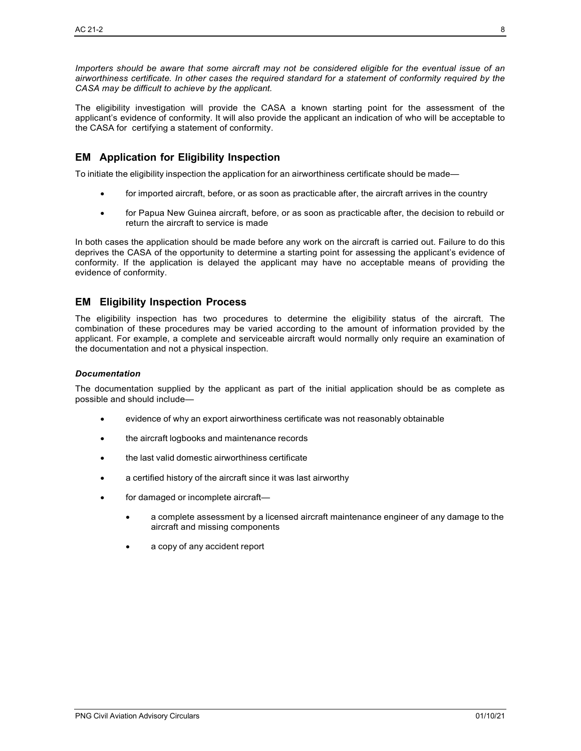*Importers should be aware that some aircraft may not be considered eligible for the eventual issue of an airworthiness certificate. In other cases the required standard for a statement of conformity required by the CASA may be difficult to achieve by the applicant.*

The eligibility investigation will provide the CASA a known starting point for the assessment of the applicant's evidence of conformity. It will also provide the applicant an indication of who will be acceptable to the CASA for certifying a statement of conformity.

## <span id="page-8-0"></span>**EM Application for Eligibility Inspection**

To initiate the eligibility inspection the application for an airworthiness certificate should be made—

- for imported aircraft, before, or as soon as practicable after, the aircraft arrives in the country
- for Papua New Guinea aircraft, before, or as soon as practicable after, the decision to rebuild or return the aircraft to service is made

In both cases the application should be made before any work on the aircraft is carried out. Failure to do this deprives the CASA of the opportunity to determine a starting point for assessing the applicant's evidence of conformity. If the application is delayed the applicant may have no acceptable means of providing the evidence of conformity.

#### <span id="page-8-1"></span>**EM Eligibility Inspection Process**

The eligibility inspection has two procedures to determine the eligibility status of the aircraft. The combination of these procedures may be varied according to the amount of information provided by the applicant. For example, a complete and serviceable aircraft would normally only require an examination of the documentation and not a physical inspection.

#### *Documentation*

The documentation supplied by the applicant as part of the initial application should be as complete as possible and should include—

- evidence of why an export airworthiness certificate was not reasonably obtainable
- the aircraft logbooks and maintenance records
- the last valid domestic airworthiness certificate
- a certified history of the aircraft since it was last airworthy
- for damaged or incomplete aircraft—
	- a complete assessment by a licensed aircraft maintenance engineer of any damage to the aircraft and missing components
	- a copy of any accident report